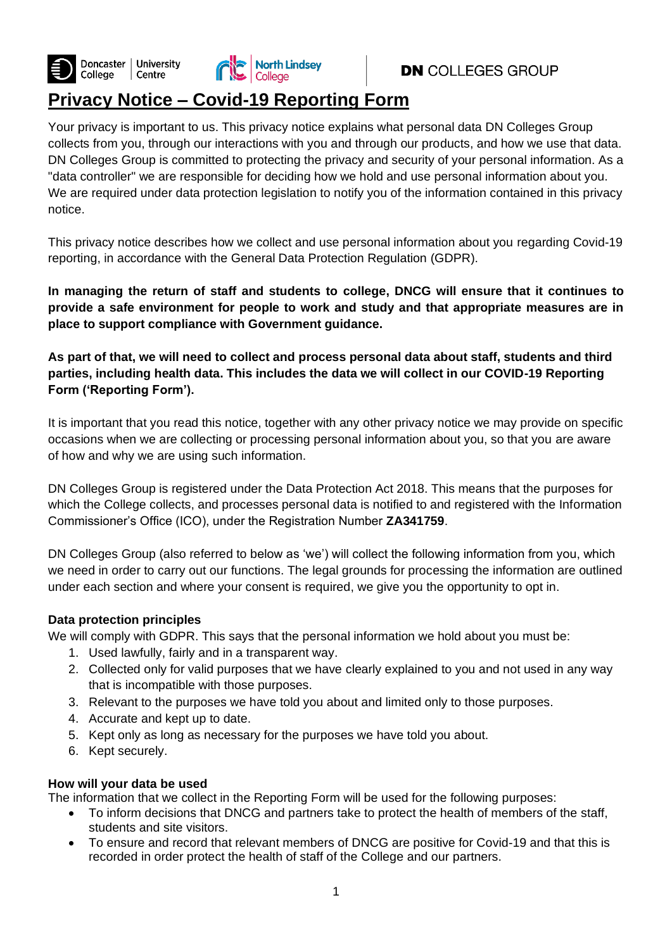



# **DN** COLLEGES GROUP

# **Privacy Notice – Covid-19 Reporting Form**

Your privacy is important to us. This privacy notice explains what personal data DN Colleges Group collects from you, through our interactions with you and through our products, and how we use that data. DN Colleges Group is committed to protecting the privacy and security of your personal information. As a "data controller" we are responsible for deciding how we hold and use personal information about you. We are required under data protection legislation to notify you of the information contained in this privacy notice.

This privacy notice describes how we collect and use personal information about you regarding Covid-19 reporting, in accordance with the General Data Protection Regulation (GDPR).

**In managing the return of staff and students to college, DNCG will ensure that it continues to provide a safe environment for people to work and study and that appropriate measures are in place to support compliance with Government guidance.**

**As part of that, we will need to collect and process personal data about staff, students and third parties, including health data. This includes the data we will collect in our COVID-19 Reporting Form ('Reporting Form').**

It is important that you read this notice, together with any other privacy notice we may provide on specific occasions when we are collecting or processing personal information about you, so that you are aware of how and why we are using such information.

DN Colleges Group is registered under the Data Protection Act 2018. This means that the purposes for which the College collects, and processes personal data is notified to and registered with the Information Commissioner's Office (ICO), under the Registration Number **ZA341759**.

DN Colleges Group (also referred to below as 'we') will collect the following information from you, which we need in order to carry out our functions. The legal grounds for processing the information are outlined under each section and where your consent is required, we give you the opportunity to opt in.

# **Data protection principles**

We will comply with GDPR. This says that the personal information we hold about you must be:

- 1. Used lawfully, fairly and in a transparent way.
- 2. Collected only for valid purposes that we have clearly explained to you and not used in any way that is incompatible with those purposes.
- 3. Relevant to the purposes we have told you about and limited only to those purposes.
- 4. Accurate and kept up to date.
- 5. Kept only as long as necessary for the purposes we have told you about.
- 6. Kept securely.

#### **How will your data be used**

The information that we collect in the Reporting Form will be used for the following purposes:

- To inform decisions that DNCG and partners take to protect the health of members of the staff, students and site visitors.
- To ensure and record that relevant members of DNCG are positive for Covid-19 and that this is recorded in order protect the health of staff of the College and our partners.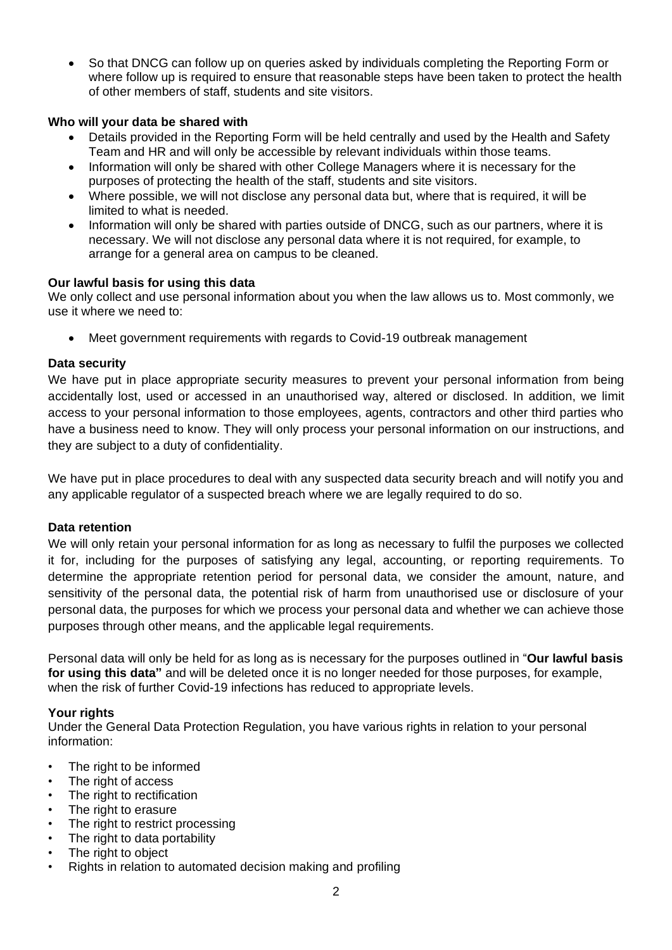• So that DNCG can follow up on queries asked by individuals completing the Reporting Form or where follow up is required to ensure that reasonable steps have been taken to protect the health of other members of staff, students and site visitors.

# **Who will your data be shared with**

- Details provided in the Reporting Form will be held centrally and used by the Health and Safety Team and HR and will only be accessible by relevant individuals within those teams.
- Information will only be shared with other College Managers where it is necessary for the purposes of protecting the health of the staff, students and site visitors.
- Where possible, we will not disclose any personal data but, where that is required, it will be limited to what is needed.
- Information will only be shared with parties outside of DNCG, such as our partners, where it is necessary. We will not disclose any personal data where it is not required, for example, to arrange for a general area on campus to be cleaned.

#### **Our lawful basis for using this data**

We only collect and use personal information about you when the law allows us to. Most commonly, we use it where we need to:

• Meet government requirements with regards to Covid-19 outbreak management

# **Data security**

We have put in place appropriate security measures to prevent your personal information from being accidentally lost, used or accessed in an unauthorised way, altered or disclosed. In addition, we limit access to your personal information to those employees, agents, contractors and other third parties who have a business need to know. They will only process your personal information on our instructions, and they are subject to a duty of confidentiality.

We have put in place procedures to deal with any suspected data security breach and will notify you and any applicable regulator of a suspected breach where we are legally required to do so.

#### **Data retention**

We will only retain your personal information for as long as necessary to fulfil the purposes we collected it for, including for the purposes of satisfying any legal, accounting, or reporting requirements. To determine the appropriate retention period for personal data, we consider the amount, nature, and sensitivity of the personal data, the potential risk of harm from unauthorised use or disclosure of your personal data, the purposes for which we process your personal data and whether we can achieve those purposes through other means, and the applicable legal requirements.

Personal data will only be held for as long as is necessary for the purposes outlined in "**Our lawful basis for using this data"** and will be deleted once it is no longer needed for those purposes, for example, when the risk of further Covid-19 infections has reduced to appropriate levels.

#### **Your rights**

Under the General Data Protection Regulation, you have various rights in relation to your personal information:

- The right to be informed
- The right of access
- The right to rectification
- The right to erasure
- The right to restrict processing
- The right to data portability
- The right to object
- Rights in relation to automated decision making and profiling